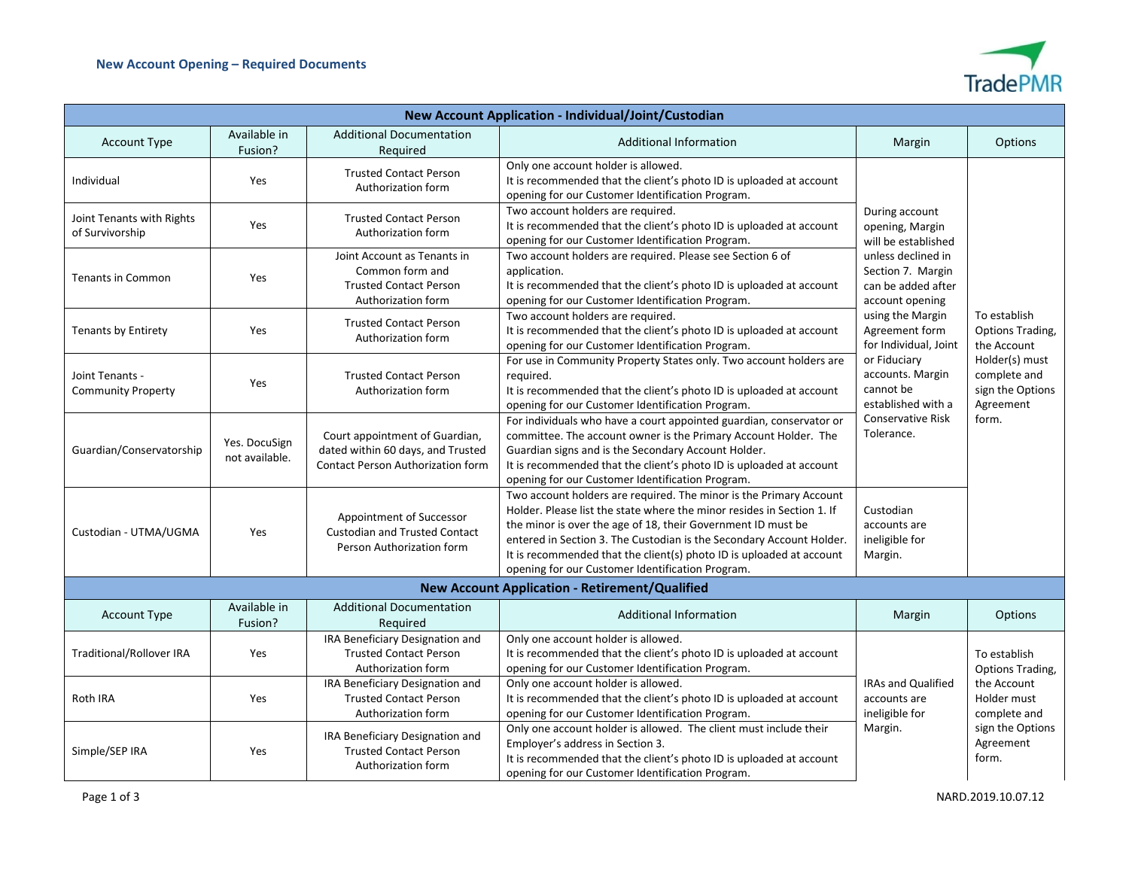

| New Account Application - Individual/Joint/Custodian  |                                 |                                                                                                                 |                                                                                                                                                                                                                                                                                                                                                                                                                  |                                                                                                                                                                                                                                                                                                                                                                                        |                                                                                                                             |  |  |
|-------------------------------------------------------|---------------------------------|-----------------------------------------------------------------------------------------------------------------|------------------------------------------------------------------------------------------------------------------------------------------------------------------------------------------------------------------------------------------------------------------------------------------------------------------------------------------------------------------------------------------------------------------|----------------------------------------------------------------------------------------------------------------------------------------------------------------------------------------------------------------------------------------------------------------------------------------------------------------------------------------------------------------------------------------|-----------------------------------------------------------------------------------------------------------------------------|--|--|
| <b>Account Type</b>                                   | Available in<br>Fusion?         | <b>Additional Documentation</b><br>Required                                                                     | <b>Additional Information</b>                                                                                                                                                                                                                                                                                                                                                                                    | Margin                                                                                                                                                                                                                                                                                                                                                                                 | Options                                                                                                                     |  |  |
| Individual                                            | Yes                             | <b>Trusted Contact Person</b><br>Authorization form                                                             | Only one account holder is allowed.<br>It is recommended that the client's photo ID is uploaded at account<br>opening for our Customer Identification Program.                                                                                                                                                                                                                                                   | During account<br>opening, Margin<br>will be established<br>unless declined in<br>Section 7. Margin<br>can be added after<br>account opening<br>using the Margin<br>Agreement form<br>for Individual, Joint<br>or Fiduciary<br>accounts. Margin<br>cannot be<br>established with a<br><b>Conservative Risk</b><br>Tolerance.<br>Custodian<br>accounts are<br>ineligible for<br>Margin. | To establish<br>Options Trading,<br>the Account<br>Holder(s) must<br>complete and<br>sign the Options<br>Agreement<br>form. |  |  |
| Joint Tenants with Rights<br>of Survivorship          | Yes                             | <b>Trusted Contact Person</b><br>Authorization form                                                             | Two account holders are required.<br>It is recommended that the client's photo ID is uploaded at account<br>opening for our Customer Identification Program.                                                                                                                                                                                                                                                     |                                                                                                                                                                                                                                                                                                                                                                                        |                                                                                                                             |  |  |
| <b>Tenants in Common</b>                              | Yes                             | Joint Account as Tenants in<br>Common form and<br><b>Trusted Contact Person</b><br>Authorization form           | Two account holders are required. Please see Section 6 of<br>application.<br>It is recommended that the client's photo ID is uploaded at account<br>opening for our Customer Identification Program.                                                                                                                                                                                                             |                                                                                                                                                                                                                                                                                                                                                                                        |                                                                                                                             |  |  |
| <b>Tenants by Entirety</b>                            | Yes                             | <b>Trusted Contact Person</b><br>Authorization form                                                             | Two account holders are required.<br>It is recommended that the client's photo ID is uploaded at account<br>opening for our Customer Identification Program.                                                                                                                                                                                                                                                     |                                                                                                                                                                                                                                                                                                                                                                                        |                                                                                                                             |  |  |
| Joint Tenants -<br><b>Community Property</b>          | Yes                             | <b>Trusted Contact Person</b><br>Authorization form                                                             | For use in Community Property States only. Two account holders are<br>required.<br>It is recommended that the client's photo ID is uploaded at account<br>opening for our Customer Identification Program.                                                                                                                                                                                                       |                                                                                                                                                                                                                                                                                                                                                                                        |                                                                                                                             |  |  |
| Guardian/Conservatorship                              | Yes. DocuSign<br>not available. | Court appointment of Guardian,<br>dated within 60 days, and Trusted<br><b>Contact Person Authorization form</b> | For individuals who have a court appointed guardian, conservator or<br>committee. The account owner is the Primary Account Holder. The<br>Guardian signs and is the Secondary Account Holder.<br>It is recommended that the client's photo ID is uploaded at account<br>opening for our Customer Identification Program.                                                                                         |                                                                                                                                                                                                                                                                                                                                                                                        |                                                                                                                             |  |  |
| Custodian - UTMA/UGMA                                 | Yes                             | Appointment of Successor<br><b>Custodian and Trusted Contact</b><br>Person Authorization form                   | Two account holders are required. The minor is the Primary Account<br>Holder. Please list the state where the minor resides in Section 1. If<br>the minor is over the age of 18, their Government ID must be<br>entered in Section 3. The Custodian is the Secondary Account Holder.<br>It is recommended that the client(s) photo ID is uploaded at account<br>opening for our Customer Identification Program. |                                                                                                                                                                                                                                                                                                                                                                                        |                                                                                                                             |  |  |
| <b>New Account Application - Retirement/Qualified</b> |                                 |                                                                                                                 |                                                                                                                                                                                                                                                                                                                                                                                                                  |                                                                                                                                                                                                                                                                                                                                                                                        |                                                                                                                             |  |  |
| <b>Account Type</b>                                   | Available in<br>Fusion?         | <b>Additional Documentation</b><br>Required                                                                     | <b>Additional Information</b>                                                                                                                                                                                                                                                                                                                                                                                    | Margin                                                                                                                                                                                                                                                                                                                                                                                 | <b>Options</b>                                                                                                              |  |  |
| Traditional/Rollover IRA                              | Yes                             | IRA Beneficiary Designation and<br><b>Trusted Contact Person</b><br>Authorization form                          | Only one account holder is allowed.<br>It is recommended that the client's photo ID is uploaded at account<br>opening for our Customer Identification Program.                                                                                                                                                                                                                                                   | <b>IRAs and Qualified</b><br>accounts are<br>ineligible for<br>Margin.                                                                                                                                                                                                                                                                                                                 | To establish<br>Options Trading,<br>the Account<br>Holder must<br>complete and<br>sign the Options<br>Agreement<br>form.    |  |  |
| Roth IRA                                              | Yes                             | IRA Beneficiary Designation and<br><b>Trusted Contact Person</b><br>Authorization form                          | Only one account holder is allowed.<br>It is recommended that the client's photo ID is uploaded at account<br>opening for our Customer Identification Program.                                                                                                                                                                                                                                                   |                                                                                                                                                                                                                                                                                                                                                                                        |                                                                                                                             |  |  |
| Simple/SEP IRA                                        | Yes                             | IRA Beneficiary Designation and<br><b>Trusted Contact Person</b><br>Authorization form                          | Only one account holder is allowed. The client must include their<br>Employer's address in Section 3.<br>It is recommended that the client's photo ID is uploaded at account<br>opening for our Customer Identification Program.                                                                                                                                                                                 |                                                                                                                                                                                                                                                                                                                                                                                        |                                                                                                                             |  |  |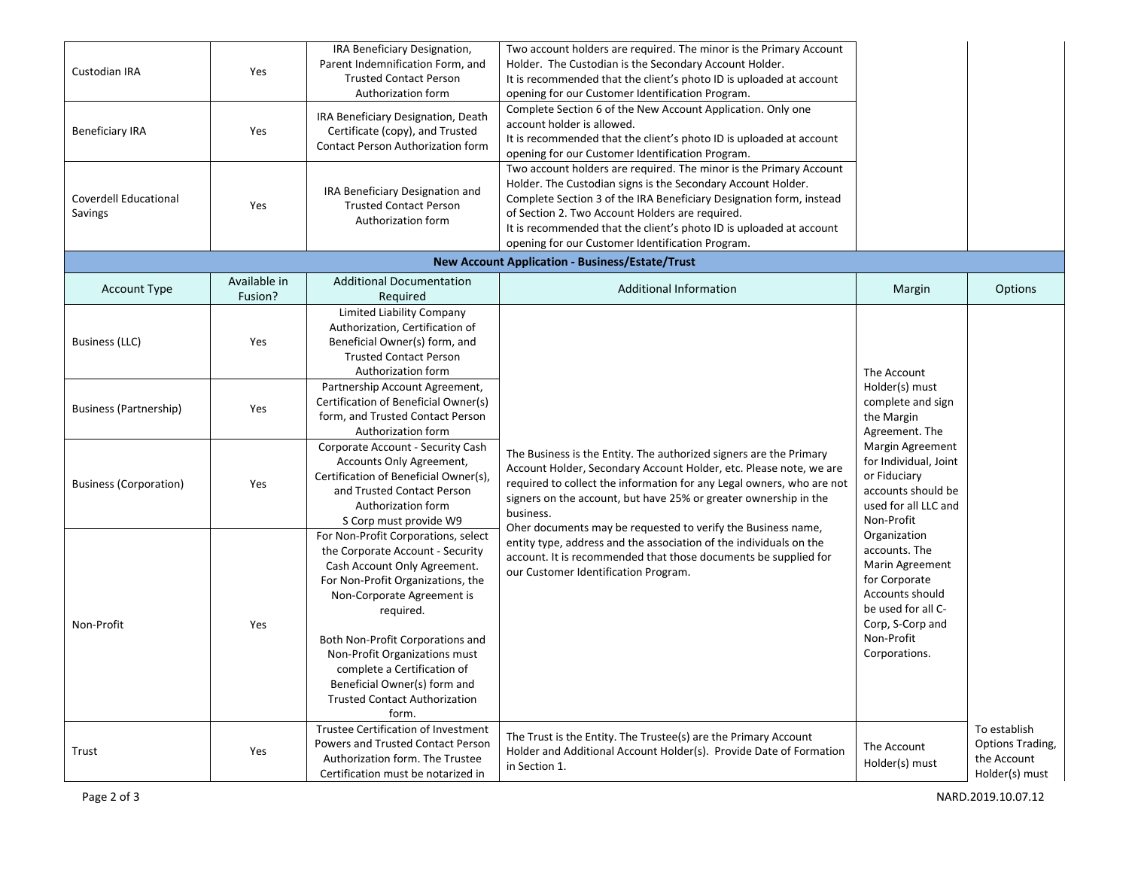| Custodian IRA<br><b>Beneficiary IRA</b> | Yes<br>Yes              | IRA Beneficiary Designation,<br>Parent Indemnification Form, and<br><b>Trusted Contact Person</b><br>Authorization form<br>IRA Beneficiary Designation, Death<br>Certificate (copy), and Trusted<br>Contact Person Authorization form<br>IRA Beneficiary Designation and                                                                                                     | Two account holders are required. The minor is the Primary Account<br>Holder. The Custodian is the Secondary Account Holder.<br>It is recommended that the client's photo ID is uploaded at account<br>opening for our Customer Identification Program.<br>Complete Section 6 of the New Account Application. Only one<br>account holder is allowed.<br>It is recommended that the client's photo ID is uploaded at account<br>opening for our Customer Identification Program.<br>Two account holders are required. The minor is the Primary Account<br>Holder. The Custodian signs is the Secondary Account Holder. |                                                                                                                                                                                              |                                                                   |
|-----------------------------------------|-------------------------|------------------------------------------------------------------------------------------------------------------------------------------------------------------------------------------------------------------------------------------------------------------------------------------------------------------------------------------------------------------------------|-----------------------------------------------------------------------------------------------------------------------------------------------------------------------------------------------------------------------------------------------------------------------------------------------------------------------------------------------------------------------------------------------------------------------------------------------------------------------------------------------------------------------------------------------------------------------------------------------------------------------|----------------------------------------------------------------------------------------------------------------------------------------------------------------------------------------------|-------------------------------------------------------------------|
| Coverdell Educational<br>Savings        | Yes                     | <b>Trusted Contact Person</b><br>Authorization form                                                                                                                                                                                                                                                                                                                          | Complete Section 3 of the IRA Beneficiary Designation form, instead<br>of Section 2. Two Account Holders are required.<br>It is recommended that the client's photo ID is uploaded at account<br>opening for our Customer Identification Program.                                                                                                                                                                                                                                                                                                                                                                     |                                                                                                                                                                                              |                                                                   |
|                                         |                         |                                                                                                                                                                                                                                                                                                                                                                              | <b>New Account Application - Business/Estate/Trust</b>                                                                                                                                                                                                                                                                                                                                                                                                                                                                                                                                                                |                                                                                                                                                                                              |                                                                   |
| <b>Account Type</b>                     | Available in<br>Fusion? | <b>Additional Documentation</b><br>Required                                                                                                                                                                                                                                                                                                                                  | <b>Additional Information</b>                                                                                                                                                                                                                                                                                                                                                                                                                                                                                                                                                                                         | Margin                                                                                                                                                                                       | Options                                                           |
| Business (LLC)                          | Yes                     | Limited Liability Company<br>Authorization, Certification of<br>Beneficial Owner(s) form, and<br><b>Trusted Contact Person</b><br>Authorization form                                                                                                                                                                                                                         |                                                                                                                                                                                                                                                                                                                                                                                                                                                                                                                                                                                                                       | The Account                                                                                                                                                                                  |                                                                   |
| <b>Business (Partnership)</b>           | Yes                     | Partnership Account Agreement,<br>Certification of Beneficial Owner(s)<br>form, and Trusted Contact Person<br>Authorization form                                                                                                                                                                                                                                             | The Business is the Entity. The authorized signers are the Primary<br>Account Holder, Secondary Account Holder, etc. Please note, we are<br>required to collect the information for any Legal owners, who are not<br>signers on the account, but have 25% or greater ownership in the<br>business.<br>Oher documents may be requested to verify the Business name,                                                                                                                                                                                                                                                    | Holder(s) must<br>complete and sign<br>the Margin<br>Agreement. The<br>Margin Agreement<br>for Individual, Joint<br>or Fiduciary<br>accounts should be<br>used for all LLC and<br>Non-Profit |                                                                   |
| <b>Business (Corporation)</b>           | Yes                     | Corporate Account - Security Cash<br>Accounts Only Agreement,<br>Certification of Beneficial Owner(s),<br>and Trusted Contact Person<br>Authorization form<br>S Corp must provide W9                                                                                                                                                                                         |                                                                                                                                                                                                                                                                                                                                                                                                                                                                                                                                                                                                                       |                                                                                                                                                                                              |                                                                   |
| Non-Profit                              | Yes                     | For Non-Profit Corporations, select<br>the Corporate Account - Security<br>Cash Account Only Agreement.<br>For Non-Profit Organizations, the<br>Non-Corporate Agreement is<br>required.<br>Both Non-Profit Corporations and<br>Non-Profit Organizations must<br>complete a Certification of<br>Beneficial Owner(s) form and<br><b>Trusted Contact Authorization</b><br>form. | entity type, address and the association of the individuals on the<br>account. It is recommended that those documents be supplied for<br>our Customer Identification Program.                                                                                                                                                                                                                                                                                                                                                                                                                                         | Organization<br>accounts. The<br>Marin Agreement<br>for Corporate<br>Accounts should<br>be used for all C-<br>Corp, S-Corp and<br>Non-Profit<br>Corporations.                                |                                                                   |
| Trust                                   | Yes                     | Trustee Certification of Investment<br>Powers and Trusted Contact Person<br>Authorization form. The Trustee<br>Certification must be notarized in                                                                                                                                                                                                                            | The Trust is the Entity. The Trustee(s) are the Primary Account<br>Holder and Additional Account Holder(s). Provide Date of Formation<br>in Section 1.                                                                                                                                                                                                                                                                                                                                                                                                                                                                | The Account<br>Holder(s) must                                                                                                                                                                | To establish<br>Options Trading,<br>the Account<br>Holder(s) must |